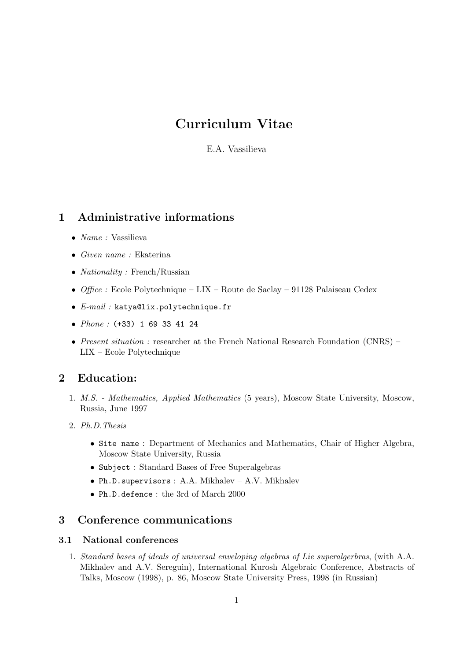# Curriculum Vitae

E.A. Vassilieva

#### 1 Administrative informations

- *Name* : Vassilieva
- Given name : Ekaterina
- *Nationality* : French/Russian
- Office : Ecole Polytechnique LIX Route de Saclay 91128 Palaiseau Cedex
- E-mail : katya@lix.polytechnique.fr
- *Phone* : (+33) 1 69 33 41 24
- *Present situation :* researcher at the French National Research Foundation (CNRS) LIX – Ecole Polytechnique

### 2 Education:

- 1. M.S. Mathematics, Applied Mathematics (5 years), Moscow State University, Moscow, Russia, June 1997
- 2. Ph.D.Thesis
	- Site name : Department of Mechanics and Mathematics, Chair of Higher Algebra, Moscow State University, Russia
	- Subject : Standard Bases of Free Superalgebras
	- Ph.D.supervisors : A.A. Mikhalev A.V. Mikhalev
	- Ph.D.defence : the 3rd of March 2000

### 3 Conference communications

#### 3.1 National conferences

1. Standard bases of ideals of universal enveloping algebras of Lie superalgerbras, (with A.A. Mikhalev and A.V. Sereguin), International Kurosh Algebraic Conference, Abstracts of Talks, Moscow (1998), p. 86, Moscow State University Press, 1998 (in Russian)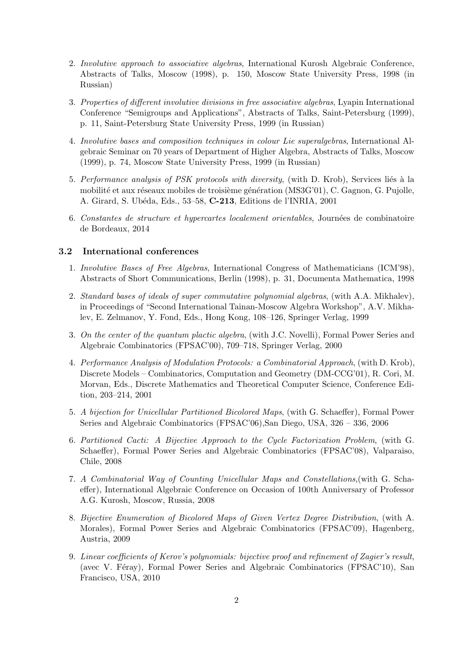- 2. Involutive approach to associative algebras, International Kurosh Algebraic Conference, Abstracts of Talks, Moscow (1998), p. 150, Moscow State University Press, 1998 (in Russian)
- 3. Properties of different involutive divisions in free associative algebras, Lyapin International Conference "Semigroups and Applications", Abstracts of Talks, Saint-Petersburg (1999), p. 11, Saint-Petersburg State University Press, 1999 (in Russian)
- 4. Involutive bases and composition techniques in colour Lie superalgebras, International Algebraic Seminar on 70 years of Department of Higher Algebra, Abstracts of Talks, Moscow (1999), p. 74, Moscow State University Press, 1999 (in Russian)
- 5. Performance analysis of PSK protocols with diversity, (with D. Krob), Services liés à la mobilité et aux réseaux mobiles de troisième génération (MS3G'01), C. Gagnon, G. Pujolle, A. Girard, S. Ub´eda, Eds., 53–58, C-213, Editions de l'INRIA, 2001
- 6. Constantes de structure et hypercartes localement orientables, Journées de combinatoire de Bordeaux, 2014

#### 3.2 International conferences

- 1. Involutive Bases of Free Algebras, International Congress of Mathematicians (ICM'98), Abstracts of Short Communications, Berlin (1998), p. 31, Documenta Mathematica, 1998
- 2. Standard bases of ideals of super commutative polynomial algebras, (with A.A. Mikhalev), in Proceedings of "Second International Tainan-Moscow Algebra Workshop", A.V. Mikhalev, E. Zelmanov, Y. Fond, Eds., Hong Kong, 108–126, Springer Verlag, 1999
- 3. On the center of the quantum plactic algebra, (with J.C. Novelli), Formal Power Series and Algebraic Combinatorics (FPSAC'00), 709–718, Springer Verlag, 2000
- 4. Performance Analysis of Modulation Protocols: a Combinatorial Approach, (with D. Krob), Discrete Models – Combinatorics, Computation and Geometry (DM-CCG'01), R. Cori, M. Morvan, Eds., Discrete Mathematics and Theoretical Computer Science, Conference Edition, 203–214, 2001
- 5. A bijection for Unicellular Partitioned Bicolored Maps, (with G. Schaeffer), Formal Power Series and Algebraic Combinatorics (FPSAC'06),San Diego, USA, 326 – 336, 2006
- 6. Partitioned Cacti: A Bijective Approach to the Cycle Factorization Problem, (with G. Schaeffer), Formal Power Series and Algebraic Combinatorics (FPSAC'08), Valparaiso, Chile, 2008
- 7. A Combinatorial Way of Counting Unicellular Maps and Constellations,(with G. Schaeffer), International Algebraic Conference on Occasion of 100th Anniversary of Professor A.G. Kurosh, Moscow, Russia, 2008
- 8. Bijective Enumeration of Bicolored Maps of Given Vertex Degree Distribution, (with A. Morales), Formal Power Series and Algebraic Combinatorics (FPSAC'09), Hagenberg, Austria, 2009
- 9. Linear coefficients of Kerov's polynomials: bijective proof and refinement of Zagier's result, (avec V. Féray), Formal Power Series and Algebraic Combinatorics (FPSAC'10), San Francisco, USA, 2010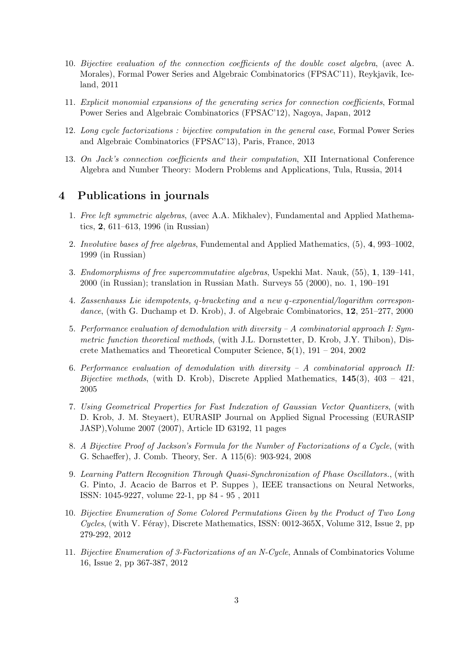- 10. Bijective evaluation of the connection coefficients of the double coset algebra, (avec A. Morales), Formal Power Series and Algebraic Combinatorics (FPSAC'11), Reykjavik, Iceland, 2011
- 11. Explicit monomial expansions of the generating series for connection coefficients, Formal Power Series and Algebraic Combinatorics (FPSAC'12), Nagoya, Japan, 2012
- 12. Long cycle factorizations : bijective computation in the general case, Formal Power Series and Algebraic Combinatorics (FPSAC'13), Paris, France, 2013
- 13. On Jack's connection coefficients and their computation, XII International Conference Algebra and Number Theory: Modern Problems and Applications, Tula, Russia, 2014

#### 4 Publications in journals

- 1. Free left symmetric algebras, (avec A.A. Mikhalev), Fundamental and Applied Mathematics, 2, 611–613, 1996 (in Russian)
- 2. Involutive bases of free algebras, Fundemental and Applied Mathematics, (5), 4, 993–1002, 1999 (in Russian)
- 3. Endomorphisms of free supercommutative algebras, Uspekhi Mat. Nauk, (55), 1, 139–141, 2000 (in Russian); translation in Russian Math. Surveys 55 (2000), no. 1, 190–191
- 4. Zassenhauss Lie idempotents, q-bracketing and a new q-exponential/logarithm correspondance, (with G. Duchamp et D. Krob), J. of Algebraic Combinatorics, 12, 251–277, 2000
- 5. Performance evaluation of demodulation with diversity A combinatorial approach I: Symmetric function theoretical methods, (with J.L. Dornstetter, D. Krob, J.Y. Thibon), Discrete Mathematics and Theoretical Computer Science, 5(1), 191 – 204, 2002
- 6. Performance evaluation of demodulation with diversity  $-A$  combinatorial approach II: *Bijective methods*, (with D. Krob), Discrete Applied Mathematics,  $145(3)$ ,  $403 - 421$ , 2005
- 7. Using Geometrical Properties for Fast Indexation of Gaussian Vector Quantizers, (with D. Krob, J. M. Steyaert), EURASIP Journal on Applied Signal Processing (EURASIP JASP),Volume 2007 (2007), Article ID 63192, 11 pages
- 8. A Bijective Proof of Jackson's Formula for the Number of Factorizations of a Cycle, (with G. Schaeffer), J. Comb. Theory, Ser. A 115(6): 903-924, 2008
- 9. Learning Pattern Recognition Through Quasi-Synchronization of Phase Oscillators., (with G. Pinto, J. Acacio de Barros et P. Suppes ), IEEE transactions on Neural Networks, ISSN: 1045-9227, volume 22-1, pp 84 - 95 , 2011
- 10. Bijective Enumeration of Some Colored Permutations Given by the Product of Two Long Cycles, (with V. Féray), Discrete Mathematics, ISSN:  $0012-365X$ , Volume 312, Issue 2, pp 279-292, 2012
- 11. Bijective Enumeration of 3-Factorizations of an N-Cycle, Annals of Combinatorics Volume 16, Issue 2, pp 367-387, 2012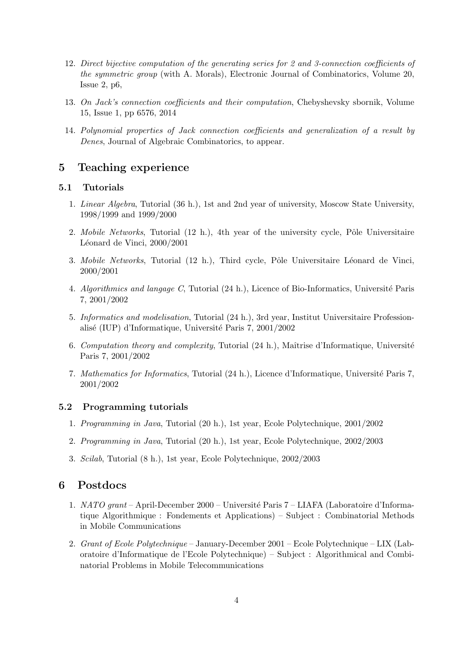- 12. Direct bijective computation of the generating series for 2 and 3-connection coefficients of the symmetric group (with A. Morals), Electronic Journal of Combinatorics, Volume 20, Issue 2, p6,
- 13. On Jack's connection coefficients and their computation, Chebyshevsky sbornik, Volume 15, Issue 1, pp 6576, 2014
- 14. Polynomial properties of Jack connection coefficients and generalization of a result by Denes, Journal of Algebraic Combinatorics, to appear.

#### 5 Teaching experience

#### 5.1 Tutorials

- 1. Linear Algebra, Tutorial (36 h.), 1st and 2nd year of university, Moscow State University, 1998/1999 and 1999/2000
- 2. Mobile Networks, Tutorial  $(12 \text{ h.})$ , 4th year of the university cycle, Pôle Universitaire Léonard de Vinci, 2000/2001
- 3. Mobile Networks, Tutorial (12 h.), Third cycle, Pôle Universitaire Léonard de Vinci, 2000/2001
- 4. Algorithmics and langage C, Tutorial (24 h.), Licence of Bio-Informatics, Université Paris 7, 2001/2002
- 5. Informatics and modelisation, Tutorial (24 h.), 3rd year, Institut Universitaire Professionalisé (IUP) d'Informatique, Université Paris 7, 2001/2002
- 6. Computation theory and complexity, Tutorial  $(24 \text{ h.})$ , Maîtrise d'Informatique, Université Paris 7, 2001/2002
- 7. Mathematics for Informatics, Tutorial (24 h.), Licence d'Informatique, Université Paris 7, 2001/2002

#### 5.2 Programming tutorials

- 1. Programming in Java, Tutorial (20 h.), 1st year, Ecole Polytechnique, 2001/2002
- 2. Programming in Java, Tutorial (20 h.), 1st year, Ecole Polytechnique, 2002/2003
- 3. Scilab, Tutorial (8 h.), 1st year, Ecole Polytechnique, 2002/2003

### 6 Postdocs

- 1. NATO grant April-December 2000 Université Paris 7 LIAFA (Laboratoire d'Informatique Algorithmique : Fondements et Applications) – Subject : Combinatorial Methods in Mobile Communications
- 2. Grant of Ecole Polytechnique January-December 2001 Ecole Polytechnique LIX (Laboratoire d'Informatique de l'Ecole Polytechnique) – Subject : Algorithmical and Combinatorial Problems in Mobile Telecommunications